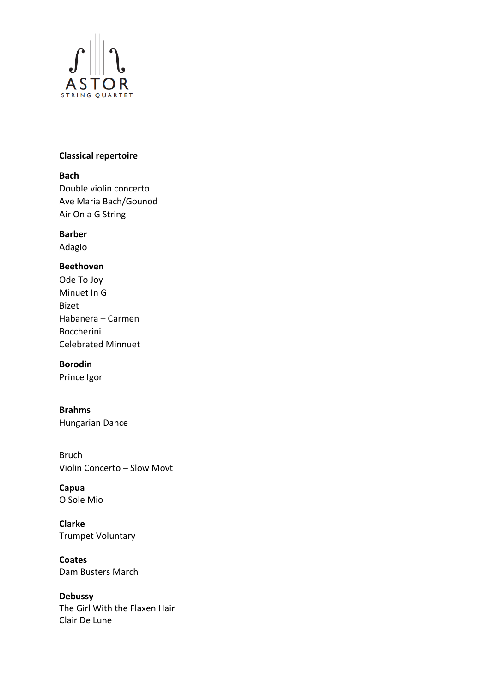

#### **Classical repertoire**

#### **Bach**

Double violin concerto Ave Maria Bach/Gounod Air On a G String

## **Barber**

Adagio

## **Beethoven**

Ode To Joy Minuet In G Bizet Habanera – Carmen Boccherini Celebrated Minnuet

#### **Borodin**

Prince Igor

**Brahms**  Hungarian Dance

Bruch Violin Concerto – Slow Movt

**Capua** O Sole Mio

**Clarke** Trumpet Voluntary

**Coates** Dam Busters March

**Debussy** The Girl With the Flaxen Hair Clair De Lune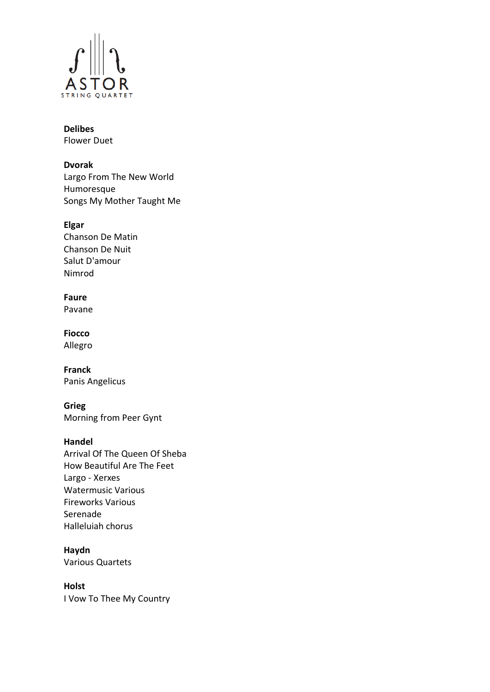

# **Delibes**

Flower Duet

## **Dvorak**

Largo From The New World Humoresque Songs My Mother Taught Me

## **Elgar**

Chanson De Matin Chanson De Nuit Salut D'amour Nimrod

## **Faure**

Pavane

#### **Fiocco** Allegro

**Franck** Panis Angelicus

**Grieg** Morning from Peer Gynt

## **Handel**

Arrival Of The Queen Of Sheba How Beautiful Are The Feet Largo - Xerxes Watermusic Various Fireworks Various Serenade Halleluiah chorus

## **Haydn**

Various Quartets

#### **Holst**

I Vow To Thee My Country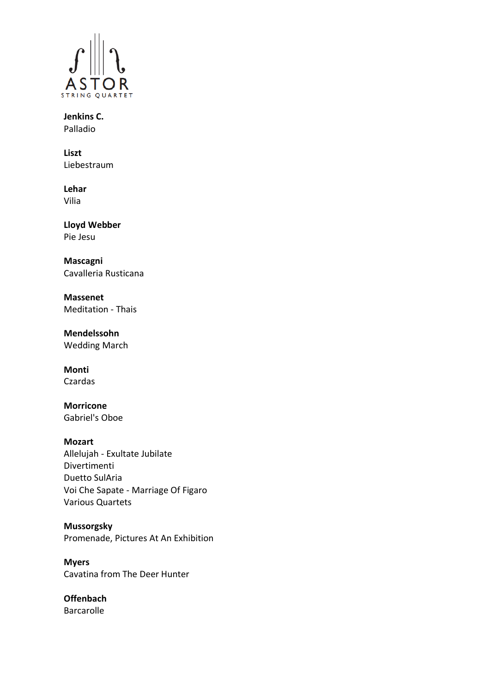

**Jenkins C.** Palladio

**Liszt** Liebestraum

**Lehar** Vilia

**Lloyd Webber** Pie Jesu

**Mascagni** Cavalleria Rusticana

**Massenet** Meditation - Thais

**Mendelssohn** Wedding March

**Monti** Czardas

**Morricone** Gabriel's Oboe

## **Mozart**

Allelujah - Exultate Jubilate Divertimenti Duetto SulAria Voi Che Sapate - Marriage Of Figaro Various Quartets

#### **Mussorgsky**

Promenade, Pictures At An Exhibition

**Myers** Cavatina from The Deer Hunter

**Offenbach** Barcarolle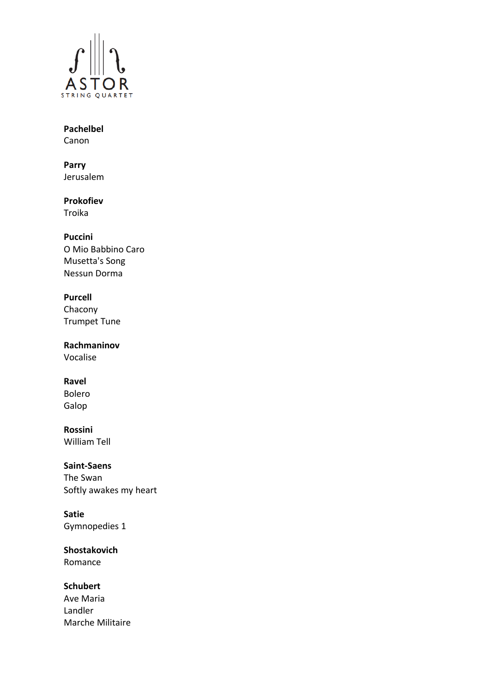

### **Pachelbel** Canon

**Parry** Jerusalem

# **Prokofiev**

Troika

## **Puccini**

O Mio Babbino Caro Musetta's Song Nessun Dorma

## **Purcell**

 Chacony Trumpet Tune

**Rachmaninov** Vocalise

## **Ravel**

Bolero Galop

## **Rossini**

William Tell

## **Saint-Saens**

The Swan Softly awakes my heart

## **Satie**

Gymnopedies 1

## **Shostakovich**

Romance

## **Schubert**

Ave Maria Landler Marche Militaire